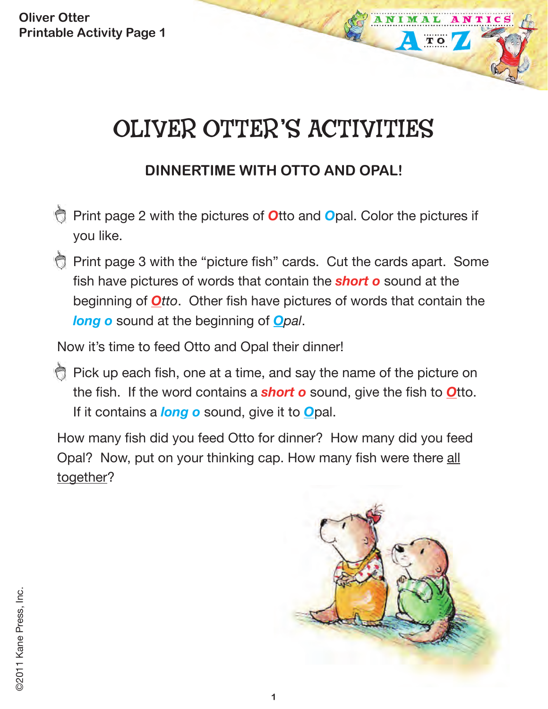# OLIVER OTTER'S ACTIVITIES

## **DINNERTIME WITH OTTO AND OPAL!**

- Print page 2 with the pictures of *O*tto and *O*pal. Color the pictures if you like.
- Print page 3 with the "picture fish" cards. Cut the cards apart. Some fish have pictures of words that contain the *short o* sound at the beginning of *Otto*. Other fish have pictures of words that contain the *long o* sound at the beginning of *Opal*.

Now it's time to feed Otto and Opal their dinner!

Pick up each fish, one at a time, and say the name of the picture on the fish. If the word contains a *short o* sound, give the fish to *O*tto. If it contains a *long o* sound, give it to *O*pal.

How many fish did you feed Otto for dinner? How many did you feed Opal? Now, put on your thinking cap. How many fish were there all together?



ANIM

TO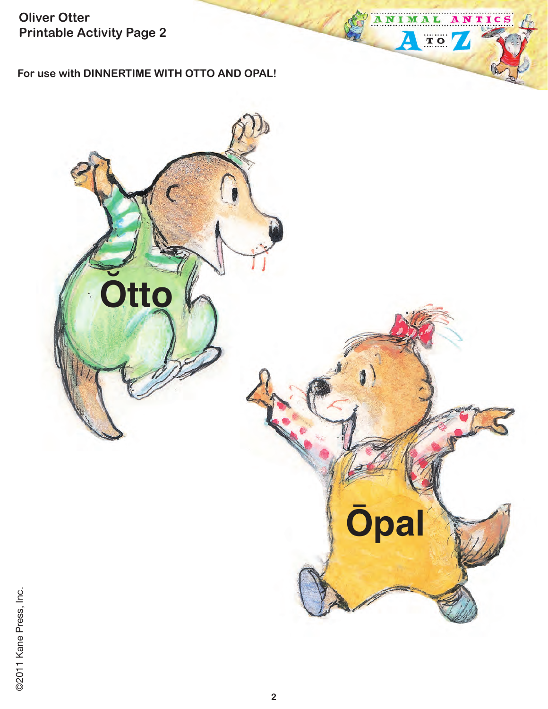For use with DINNERTIME WITH OTTO AND OPAL!



ANTICS

ANIMAL

Δ

TO 7

©2011 Kane Press, Inc.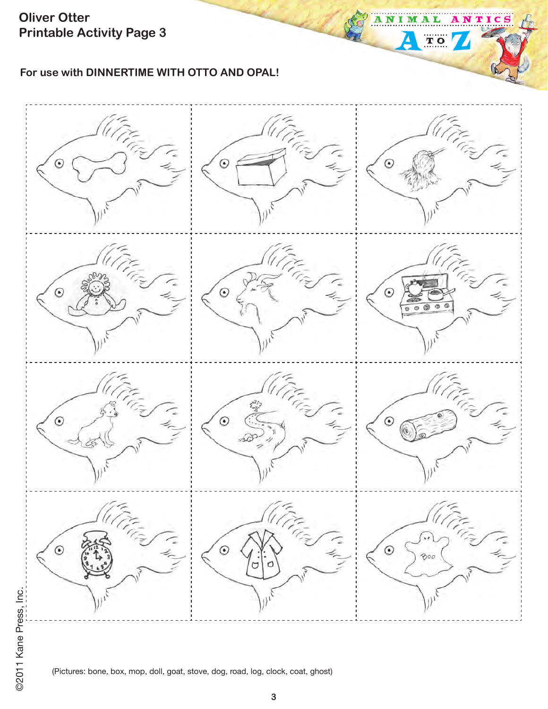**For use with DINNERTIME WITH OTTO AND OPAL!**



A N

Ą

т 1

 $T$  O

(Pictures: bone, box, mop, doll, goat, stove, dog, road, log, clock, coat, ghost)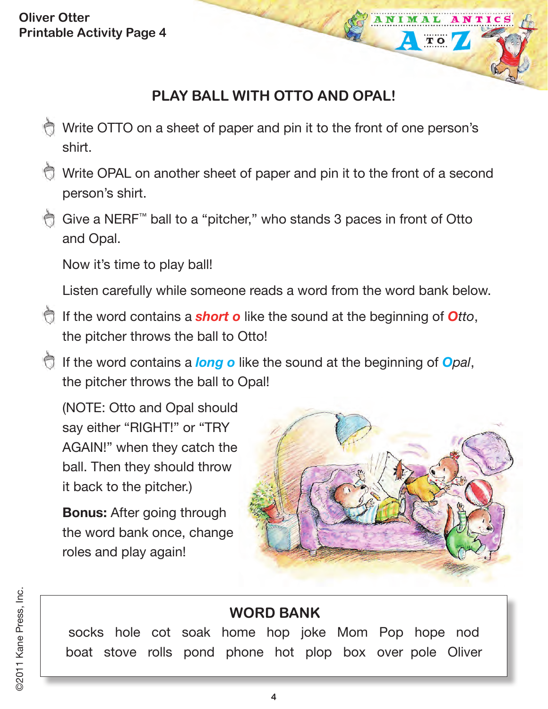## **PLAY BALL WITH OTTO AND OPAL!**

- Write OTTO on a sheet of paper and pin it to the front of one person's shirt.
- Write OPAL on another sheet of paper and pin it to the front of a second person's shirt.
- Give a NERF™ ball to a "pitcher," who stands 3 paces in front of Otto and Opal.

Now it's time to play ball!

Listen carefully while someone reads a word from the word bank below.

- If the word contains a *short o* like the sound at the beginning of *Otto*, the pitcher throws the ball to Otto!
- If the word contains a *long o* like the sound at the beginning of *Opal*, the pitcher throws the ball to Opal!

(NOTE: Otto and Opal should say either "RIGHT!" or "TRY AGAIN!" when they catch the ball. Then they should throw it back to the pitcher.)

**Bonus:** After going through the word bank once, change roles and play again!



TO

#### **WORD BANK**

socks hole cot soak home hop joke Mom Pop hope nod boat stove rolls pond phone hot plop box over pole Oliver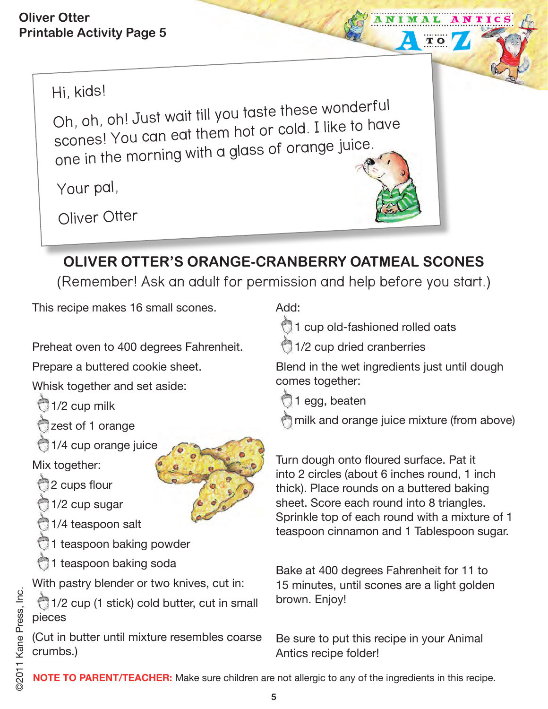## Hi, kids!

Oh, oh, oh! Just wait till you taste these wonderful scones! You can eat them hot or cold. I like to have one in the morning with a glass of orange juice.

Your pal,

Oliver Otter

## **OLIVER OTTER'S ORANGE-CRANBERRY OATMEAL SCONES**

(Remember! Ask an adult for permission and help before you start.)

This recipe makes 16 small scones.

Preheat oven to 400 degrees Fahrenheit.

Prepare a buttered cookie sheet.

Whisk together and set aside:

- $\bigcirc$  1/2 cup milk
- zest of 1 orange
- 1/4 cup orange juice

Mix together:

- 2 cups flour
- 1/2 cup sugar
- 1/4 teaspoon salt
- 1 teaspoon baking powder
- 1 teaspoon baking soda

With pastry blender or two knives, cut in:

 1/2 cup (1 stick) cold butter, cut in small pieces

(Cut in butter until mixture resembles coarse crumbs.)

Add:



1/2 cup dried cranberries

Blend in the wet ingredients just until dough comes together:

TO

1 egg, beaten

milk and orange juice mixture (from above)

Turn dough onto floured surface. Pat it into 2 circles (about 6 inches round, 1 inch thick). Place rounds on a buttered baking sheet. Score each round into 8 triangles. Sprinkle top of each round with a mixture of 1 teaspoon cinnamon and 1 Tablespoon sugar.

Bake at 400 degrees Fahrenheit for 11 to 15 minutes, until scones are a light golden brown. Enjoy!

Be sure to put this recipe in your Animal Antics recipe folder!

**NOTE TO PARENT/TEACHER:** Make sure children are not allergic to any of the ingredients in this recipe.